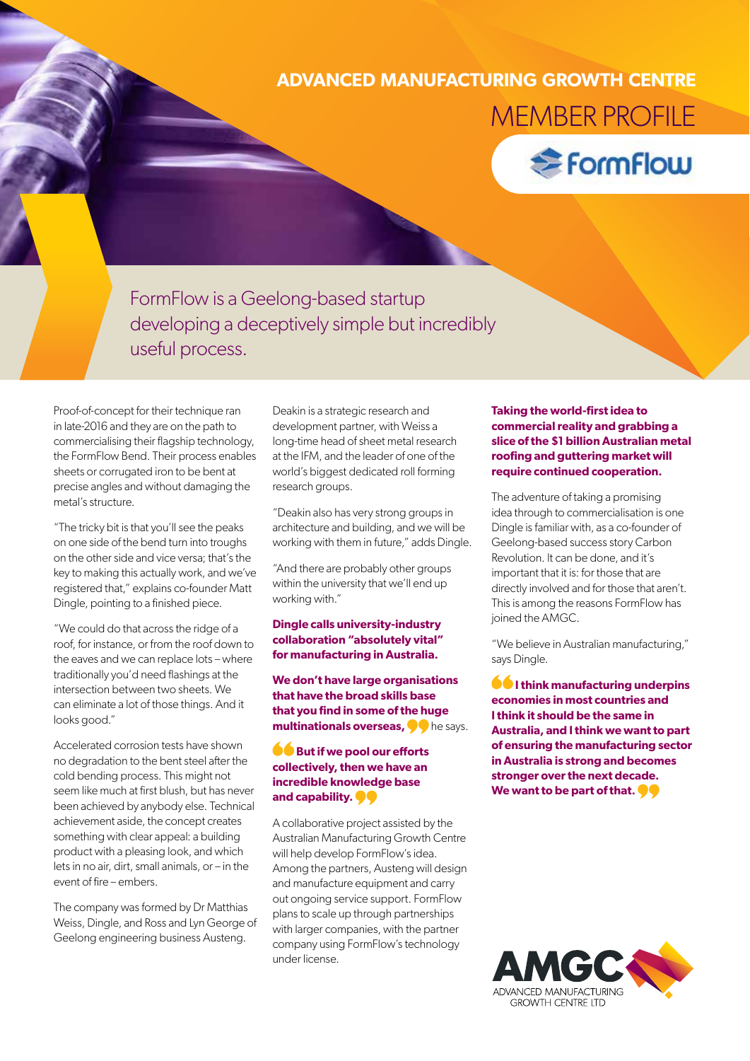## **ADVANCED MANUFACTURING GROWTH CENTRE** MEMBER PROFILE



FormFlow is a Geelong-based startup developing a deceptively simple but incredibly useful process.

Proof-of-concept for their technique ran in late-2016 and they are on the path to commercialising their flagship technology, the FormFlow Bend. Their process enables sheets or corrugated iron to be bent at precise angles and without damaging the metal's structure.

"The tricky bit is that you'll see the peaks on one side of the bend turn into troughs on the other side and vice versa; that's the key to making this actually work, and we've registered that," explains co-founder Matt Dingle, pointing to a finished piece.

"We could do that across the ridge of a roof, for instance, or from the roof down to the eaves and we can replace lots – where traditionally you'd need flashings at the intersection between two sheets. We can eliminate a lot of those things. And it looks good."

Accelerated corrosion tests have shown no degradation to the bent steel after the cold bending process. This might not seem like much at first blush, but has never been achieved by anybody else. Technical achievement aside, the concept creates something with clear appeal: a building product with a pleasing look, and which lets in no air, dirt, small animals, or – in the event of fire – embers.

The company was formed by Dr Matthias Weiss, Dingle, and Ross and Lyn George of Geelong engineering business Austeng.

Deakin is a strategic research and development partner, with Weiss a long-time head of sheet metal research at the IFM, and the leader of one of the world's biggest dedicated roll forming research groups.

"Deakin also has very strong groups in architecture and building, and we will be working with them in future," adds Dingle.

"And there are probably other groups within the university that we'll end up working with."

## **Dingle calls university-industry collaboration "absolutely vital" for manufacturing in Australia.**

**We don't have large organisations that have the broad skills base that you find in some of the huge multinationals overseas,**  $\bullet\bullet$  **he says.** 

## **But if we pool our efforts collectively, then we have an incredible knowledge base and capability.**

A collaborative project assisted by the Australian Manufacturing Growth Centre will help develop FormFlow's idea. Among the partners, Austeng will design and manufacture equipment and carry out ongoing service support. FormFlow plans to scale up through partnerships with larger companies, with the partner company using FormFlow's technology under license.

## **Taking the world-first idea to commercial reality and grabbing a slice of the \$1 billion Australian metal roofing and guttering market will require continued cooperation.**

The adventure of taking a promising idea through to commercialisation is one Dingle is familiar with, as a co-founder of Geelong-based success story Carbon Revolution. It can be done, and it's important that it is: for those that are directly involved and for those that aren't. This is among the reasons FormFlow has joined the AMGC.

"We believe in Australian manufacturing," says Dingle.

 $\bullet$  **I think manufacturing underpins economies in most countries and I think it should be the same in Australia, and I think we want to part of ensuring the manufacturing sector in Australia is strong and becomes stronger over the next decade. We want to be part of that.**